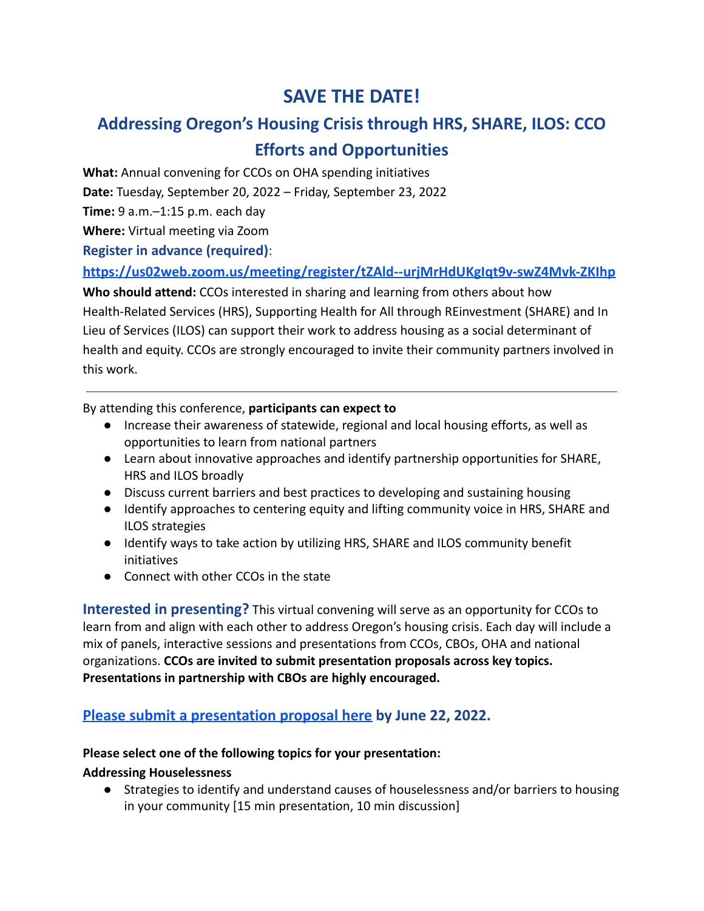# **SAVE THE DATE!**

# **Addressing Oregon's Housing Crisis through HRS, SHARE, ILOS: CCO Efforts and Opportunities**

**What:** Annual convening for CCOs on OHA spending initiatives

**Date:** Tuesday, September 20, 2022 – Friday, September 23, 2022

**Time:** 9 a.m.–1:15 p.m. each day

**Where:** Virtual meeting via Zoom

**Register in advance (required)**:

### **<https://us02web.zoom.us/meeting/register/tZAld--urjMrHdUKgIqt9v-swZ4Mvk-ZKIhp>**

**Who should attend:** CCOs interested in sharing and learning from others about how Health-Related Services (HRS), Supporting Health for All through REinvestment (SHARE) and In Lieu of Services (ILOS) can support their work to address housing as a social determinant of health and equity. CCOs are strongly encouraged to invite their community partners involved in this work.

By attending this conference, **participants can expect to**

- Increase their awareness of statewide, regional and local housing efforts, as well as opportunities to learn from national partners
- Learn about innovative approaches and identify partnership opportunities for SHARE, HRS and ILOS broadly
- Discuss current barriers and best practices to developing and sustaining housing
- Identify approaches to centering equity and lifting community voice in HRS, SHARE and ILOS strategies
- Identify ways to take action by utilizing HRS, SHARE and ILOS community benefit initiatives
- Connect with other CCOs in the state

**Interested in presenting?** This virtual convening will serve as an opportunity for CCOs to learn from and align with each other to address Oregon's housing crisis. Each day will include a mix of panels, interactive sessions and presentations from CCOs, CBOs, OHA and national organizations. **CCOs are invited to submit presentation proposals across key topics. Presentations in partnership with CBOs are highly encouraged.**

## **Please submit a [presentation](https://forms.gle/pVtZyrGnhZuXNurF7) proposal here by June 22, 2022.**

### **Please select one of the following topics for your presentation:**

### **Addressing Houselessness**

● Strategies to identify and understand causes of houselessness and/or barriers to housing in your community [15 min presentation, 10 min discussion]